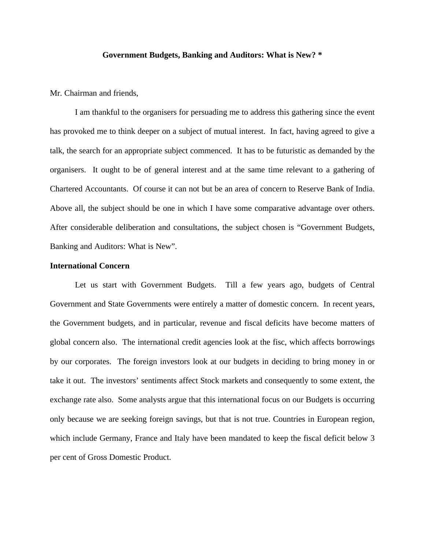### **Government Budgets, Banking and Auditors: What is New? \***

Mr. Chairman and friends,

I am thankful to the organisers for persuading me to address this gathering since the event has provoked me to think deeper on a subject of mutual interest. In fact, having agreed to give a talk, the search for an appropriate subject commenced. It has to be futuristic as demanded by the organisers. It ought to be of general interest and at the same time relevant to a gathering of Chartered Accountants. Of course it can not but be an area of concern to Reserve Bank of India. Above all, the subject should be one in which I have some comparative advantage over others. After considerable deliberation and consultations, the subject chosen is "Government Budgets, Banking and Auditors: What is New".

### **International Concern**

Let us start with Government Budgets. Till a few years ago, budgets of Central Government and State Governments were entirely a matter of domestic concern. In recent years, the Government budgets, and in particular, revenue and fiscal deficits have become matters of global concern also. The international credit agencies look at the fisc, which affects borrowings by our corporates. The foreign investors look at our budgets in deciding to bring money in or take it out. The investors' sentiments affect Stock markets and consequently to some extent, the exchange rate also. Some analysts argue that this international focus on our Budgets is occurring only because we are seeking foreign savings, but that is not true. Countries in European region, which include Germany, France and Italy have been mandated to keep the fiscal deficit below 3 per cent of Gross Domestic Product.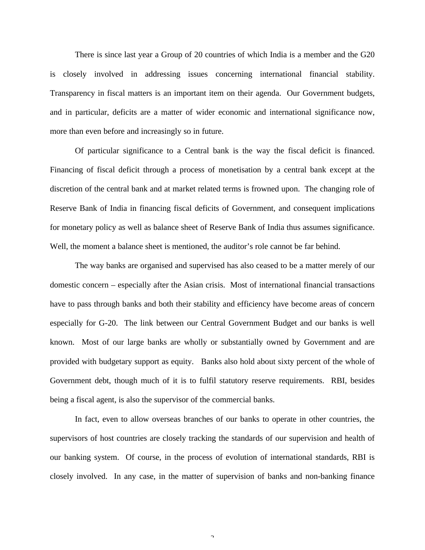There is since last year a Group of 20 countries of which India is a member and the G20 is closely involved in addressing issues concerning international financial stability. Transparency in fiscal matters is an important item on their agenda. Our Government budgets, and in particular, deficits are a matter of wider economic and international significance now, more than even before and increasingly so in future.

Of particular significance to a Central bank is the way the fiscal deficit is financed. Financing of fiscal deficit through a process of monetisation by a central bank except at the discretion of the central bank and at market related terms is frowned upon. The changing role of Reserve Bank of India in financing fiscal deficits of Government, and consequent implications for monetary policy as well as balance sheet of Reserve Bank of India thus assumes significance. Well, the moment a balance sheet is mentioned, the auditor's role cannot be far behind.

The way banks are organised and supervised has also ceased to be a matter merely of our domestic concern – especially after the Asian crisis. Most of international financial transactions have to pass through banks and both their stability and efficiency have become areas of concern especially for G-20. The link between our Central Government Budget and our banks is well known. Most of our large banks are wholly or substantially owned by Government and are provided with budgetary support as equity. Banks also hold about sixty percent of the whole of Government debt, though much of it is to fulfil statutory reserve requirements. RBI, besides being a fiscal agent, is also the supervisor of the commercial banks.

In fact, even to allow overseas branches of our banks to operate in other countries, the supervisors of host countries are closely tracking the standards of our supervision and health of our banking system. Of course, in the process of evolution of international standards, RBI is closely involved. In any case, in the matter of supervision of banks and non-banking finance

 $\bigcap$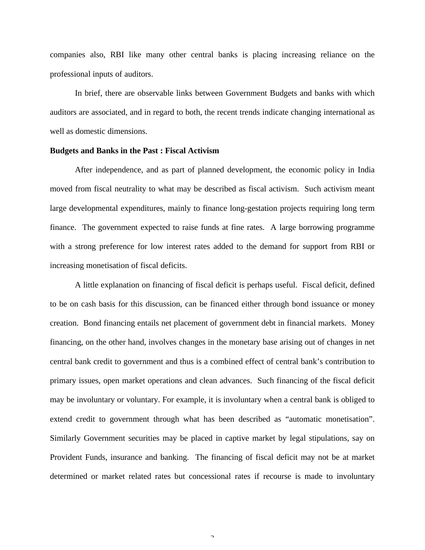companies also, RBI like many other central banks is placing increasing reliance on the professional inputs of auditors.

In brief, there are observable links between Government Budgets and banks with which auditors are associated, and in regard to both, the recent trends indicate changing international as well as domestic dimensions.

# **Budgets and Banks in the Past : Fiscal Activism**

After independence, and as part of planned development, the economic policy in India moved from fiscal neutrality to what may be described as fiscal activism. Such activism meant large developmental expenditures, mainly to finance long-gestation projects requiring long term finance. The government expected to raise funds at fine rates. A large borrowing programme with a strong preference for low interest rates added to the demand for support from RBI or increasing monetisation of fiscal deficits.

A little explanation on financing of fiscal deficit is perhaps useful. Fiscal deficit, defined to be on cash basis for this discussion, can be financed either through bond issuance or money creation. Bond financing entails net placement of government debt in financial markets. Money financing, on the other hand, involves changes in the monetary base arising out of changes in net central bank credit to government and thus is a combined effect of central bank's contribution to primary issues, open market operations and clean advances. Such financing of the fiscal deficit may be involuntary or voluntary. For example, it is involuntary when a central bank is obliged to extend credit to government through what has been described as "automatic monetisation". Similarly Government securities may be placed in captive market by legal stipulations, say on Provident Funds, insurance and banking. The financing of fiscal deficit may not be at market determined or market related rates but concessional rates if recourse is made to involuntary

 $\mathcal{L}$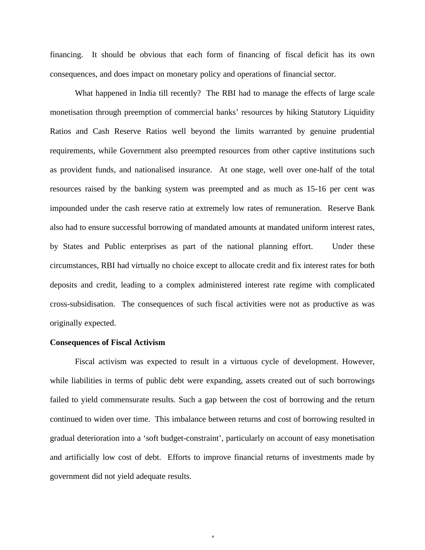financing. It should be obvious that each form of financing of fiscal deficit has its own consequences, and does impact on monetary policy and operations of financial sector.

What happened in India till recently? The RBI had to manage the effects of large scale monetisation through preemption of commercial banks' resources by hiking Statutory Liquidity Ratios and Cash Reserve Ratios well beyond the limits warranted by genuine prudential requirements, while Government also preempted resources from other captive institutions such as provident funds, and nationalised insurance. At one stage, well over one-half of the total resources raised by the banking system was preempted and as much as 15-16 per cent was impounded under the cash reserve ratio at extremely low rates of remuneration. Reserve Bank also had to ensure successful borrowing of mandated amounts at mandated uniform interest rates, by States and Public enterprises as part of the national planning effort. Under these circumstances, RBI had virtually no choice except to allocate credit and fix interest rates for both deposits and credit, leading to a complex administered interest rate regime with complicated cross-subsidisation. The consequences of such fiscal activities were not as productive as was originally expected.

# **Consequences of Fiscal Activism**

Fiscal activism was expected to result in a virtuous cycle of development. However, while liabilities in terms of public debt were expanding, assets created out of such borrowings failed to yield commensurate results. Such a gap between the cost of borrowing and the return continued to widen over time. This imbalance between returns and cost of borrowing resulted in gradual deterioration into a 'soft budget-constraint', particularly on account of easy monetisation and artificially low cost of debt. Efforts to improve financial returns of investments made by government did not yield adequate results.

4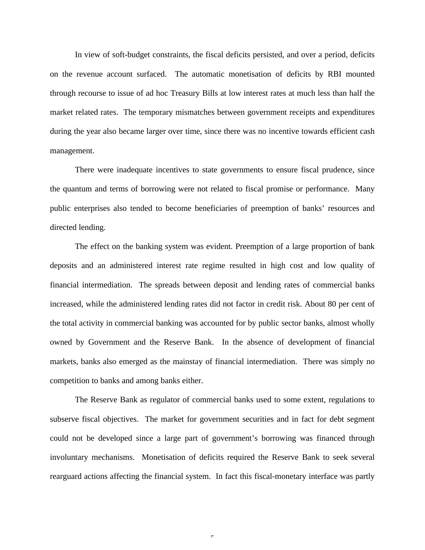In view of soft-budget constraints, the fiscal deficits persisted, and over a period, deficits on the revenue account surfaced. The automatic monetisation of deficits by RBI mounted through recourse to issue of ad hoc Treasury Bills at low interest rates at much less than half the market related rates. The temporary mismatches between government receipts and expenditures during the year also became larger over time, since there was no incentive towards efficient cash management.

There were inadequate incentives to state governments to ensure fiscal prudence, since the quantum and terms of borrowing were not related to fiscal promise or performance. Many public enterprises also tended to become beneficiaries of preemption of banks' resources and directed lending.

The effect on the banking system was evident. Preemption of a large proportion of bank deposits and an administered interest rate regime resulted in high cost and low quality of financial intermediation. The spreads between deposit and lending rates of commercial banks increased, while the administered lending rates did not factor in credit risk. About 80 per cent of the total activity in commercial banking was accounted for by public sector banks, almost wholly owned by Government and the Reserve Bank. In the absence of development of financial markets, banks also emerged as the mainstay of financial intermediation. There was simply no competition to banks and among banks either.

The Reserve Bank as regulator of commercial banks used to some extent, regulations to subserve fiscal objectives. The market for government securities and in fact for debt segment could not be developed since a large part of government's borrowing was financed through involuntary mechanisms. Monetisation of deficits required the Reserve Bank to seek several rearguard actions affecting the financial system. In fact this fiscal-monetary interface was partly

 $\epsilon$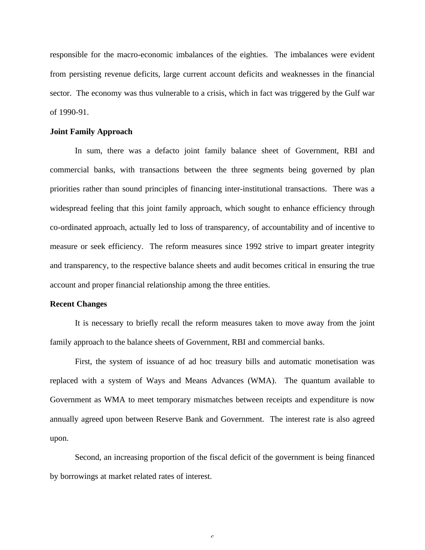responsible for the macro-economic imbalances of the eighties. The imbalances were evident from persisting revenue deficits, large current account deficits and weaknesses in the financial sector. The economy was thus vulnerable to a crisis, which in fact was triggered by the Gulf war of 1990-91.

#### **Joint Family Approach**

In sum, there was a defacto joint family balance sheet of Government, RBI and commercial banks, with transactions between the three segments being governed by plan priorities rather than sound principles of financing inter-institutional transactions. There was a widespread feeling that this joint family approach, which sought to enhance efficiency through co-ordinated approach, actually led to loss of transparency, of accountability and of incentive to measure or seek efficiency. The reform measures since 1992 strive to impart greater integrity and transparency, to the respective balance sheets and audit becomes critical in ensuring the true account and proper financial relationship among the three entities.

## **Recent Changes**

It is necessary to briefly recall the reform measures taken to move away from the joint family approach to the balance sheets of Government, RBI and commercial banks.

First, the system of issuance of ad hoc treasury bills and automatic monetisation was replaced with a system of Ways and Means Advances (WMA). The quantum available to Government as WMA to meet temporary mismatches between receipts and expenditure is now annually agreed upon between Reserve Bank and Government. The interest rate is also agreed upon.

Second, an increasing proportion of the fiscal deficit of the government is being financed by borrowings at market related rates of interest.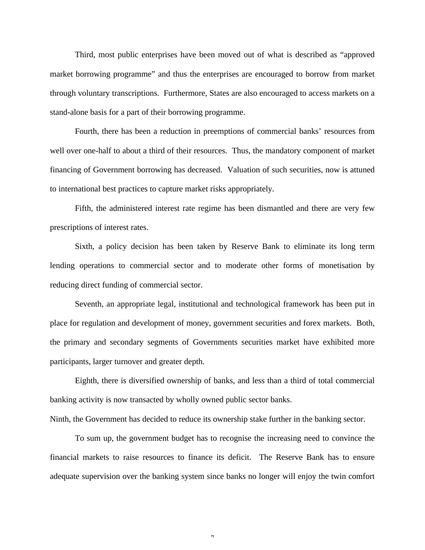Third, most public enterprises have been moved out of what is described as "approved market borrowing programme" and thus the enterprises are encouraged to borrow from market through voluntary transcriptions. Furthermore, States are also encouraged to access markets on a stand-alone basis for a part of their borrowing programme.

Fourth, there has been a reduction in preemptions of commercial banks' resources from well over one-half to about a third of their resources. Thus, the mandatory component of market financing of Government borrowing has decreased. Valuation of such securities, now is attuned to international best practices to capture market risks appropriately.

Fifth, the administered interest rate regime has been dismantled and there are very few prescriptions of interest rates.

Sixth, a policy decision has been taken by Reserve Bank to eliminate its long term lending operations to commercial sector and to moderate other forms of monetisation by reducing direct funding of commercial sector.

Seventh, an appropriate legal, institutional and technological framework has been put in place for regulation and development of money, government securities and forex markets. Both, the primary and secondary segments of Governments securities market have exhibited more participants, larger turnover and greater depth.

Eighth, there is diversified ownership of banks, and less than a third of total commercial banking activity is now transacted by wholly owned public sector banks.

Ninth, the Government has decided to reduce its ownership stake further in the banking sector.

To sum up, the government budget has to recognise the increasing need to convince the financial markets to raise resources to finance its deficit. The Reserve Bank has to ensure adequate supervision over the banking system since banks no longer will enjoy the twin comfort

 $\overline{ }$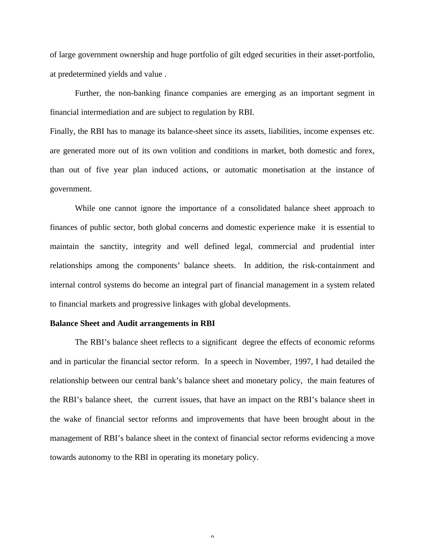of large government ownership and huge portfolio of gilt edged securities in their asset-portfolio, at predetermined yields and value .

Further, the non-banking finance companies are emerging as an important segment in financial intermediation and are subject to regulation by RBI.

Finally, the RBI has to manage its balance-sheet since its assets, liabilities, income expenses etc. are generated more out of its own volition and conditions in market, both domestic and forex, than out of five year plan induced actions, or automatic monetisation at the instance of government.

While one cannot ignore the importance of a consolidated balance sheet approach to finances of public sector, both global concerns and domestic experience make it is essential to maintain the sanctity, integrity and well defined legal, commercial and prudential inter relationships among the components' balance sheets. In addition, the risk-containment and internal control systems do become an integral part of financial management in a system related to financial markets and progressive linkages with global developments.

#### **Balance Sheet and Audit arrangements in RBI**

The RBI's balance sheet reflects to a significant degree the effects of economic reforms and in particular the financial sector reform. In a speech in November, 1997, I had detailed the relationship between our central bank's balance sheet and monetary policy, the main features of the RBI's balance sheet, the current issues, that have an impact on the RBI's balance sheet in the wake of financial sector reforms and improvements that have been brought about in the management of RBI's balance sheet in the context of financial sector reforms evidencing a move towards autonomy to the RBI in operating its monetary policy.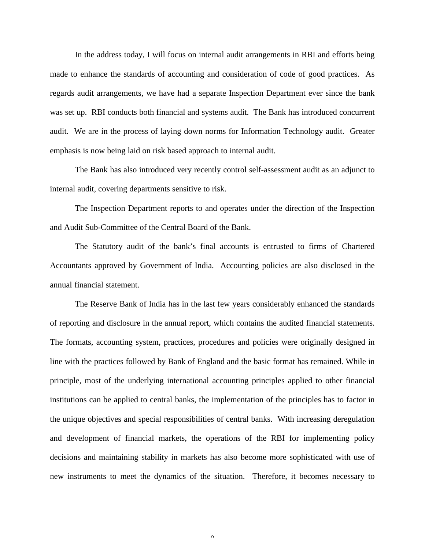In the address today, I will focus on internal audit arrangements in RBI and efforts being made to enhance the standards of accounting and consideration of code of good practices. As regards audit arrangements, we have had a separate Inspection Department ever since the bank was set up. RBI conducts both financial and systems audit. The Bank has introduced concurrent audit. We are in the process of laying down norms for Information Technology audit. Greater emphasis is now being laid on risk based approach to internal audit.

The Bank has also introduced very recently control self-assessment audit as an adjunct to internal audit, covering departments sensitive to risk.

The Inspection Department reports to and operates under the direction of the Inspection and Audit Sub-Committee of the Central Board of the Bank.

The Statutory audit of the bank's final accounts is entrusted to firms of Chartered Accountants approved by Government of India. Accounting policies are also disclosed in the annual financial statement.

The Reserve Bank of India has in the last few years considerably enhanced the standards of reporting and disclosure in the annual report, which contains the audited financial statements. The formats, accounting system, practices, procedures and policies were originally designed in line with the practices followed by Bank of England and the basic format has remained. While in principle, most of the underlying international accounting principles applied to other financial institutions can be applied to central banks, the implementation of the principles has to factor in the unique objectives and special responsibilities of central banks. With increasing deregulation and development of financial markets, the operations of the RBI for implementing policy decisions and maintaining stability in markets has also become more sophisticated with use of new instruments to meet the dynamics of the situation. Therefore, it becomes necessary to

 $\Omega$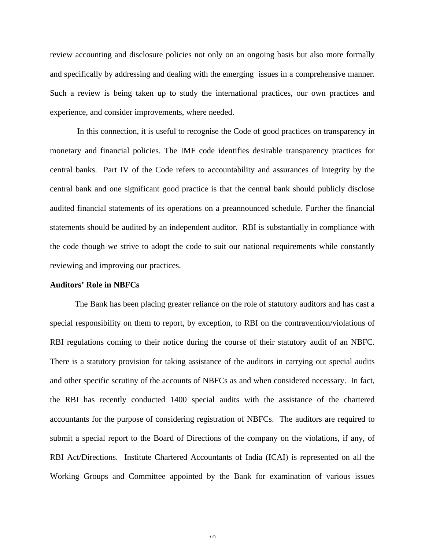review accounting and disclosure policies not only on an ongoing basis but also more formally and specifically by addressing and dealing with the emerging issues in a comprehensive manner. Such a review is being taken up to study the international practices, our own practices and experience, and consider improvements, where needed.

 In this connection, it is useful to recognise the Code of good practices on transparency in monetary and financial policies. The IMF code identifies desirable transparency practices for central banks. Part IV of the Code refers to accountability and assurances of integrity by the central bank and one significant good practice is that the central bank should publicly disclose audited financial statements of its operations on a preannounced schedule. Further the financial statements should be audited by an independent auditor. RBI is substantially in compliance with the code though we strive to adopt the code to suit our national requirements while constantly reviewing and improving our practices.

#### **Auditors' Role in NBFCs**

The Bank has been placing greater reliance on the role of statutory auditors and has cast a special responsibility on them to report, by exception, to RBI on the contravention/violations of RBI regulations coming to their notice during the course of their statutory audit of an NBFC. There is a statutory provision for taking assistance of the auditors in carrying out special audits and other specific scrutiny of the accounts of NBFCs as and when considered necessary. In fact, the RBI has recently conducted 1400 special audits with the assistance of the chartered accountants for the purpose of considering registration of NBFCs. The auditors are required to submit a special report to the Board of Directions of the company on the violations, if any, of RBI Act/Directions. Institute Chartered Accountants of India (ICAI) is represented on all the Working Groups and Committee appointed by the Bank for examination of various issues

 $1<sub>0</sub>$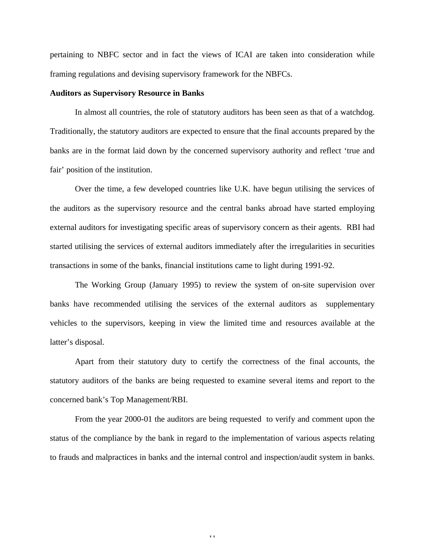pertaining to NBFC sector and in fact the views of ICAI are taken into consideration while framing regulations and devising supervisory framework for the NBFCs.

## **Auditors as Supervisory Resource in Banks**

In almost all countries, the role of statutory auditors has been seen as that of a watchdog. Traditionally, the statutory auditors are expected to ensure that the final accounts prepared by the banks are in the format laid down by the concerned supervisory authority and reflect 'true and fair' position of the institution.

Over the time, a few developed countries like U.K. have begun utilising the services of the auditors as the supervisory resource and the central banks abroad have started employing external auditors for investigating specific areas of supervisory concern as their agents. RBI had started utilising the services of external auditors immediately after the irregularities in securities transactions in some of the banks, financial institutions came to light during 1991-92.

The Working Group (January 1995) to review the system of on-site supervision over banks have recommended utilising the services of the external auditors as supplementary vehicles to the supervisors, keeping in view the limited time and resources available at the latter's disposal.

Apart from their statutory duty to certify the correctness of the final accounts, the statutory auditors of the banks are being requested to examine several items and report to the concerned bank's Top Management/RBI.

From the year 2000-01 the auditors are being requested to verify and comment upon the status of the compliance by the bank in regard to the implementation of various aspects relating to frauds and malpractices in banks and the internal control and inspection/audit system in banks.

11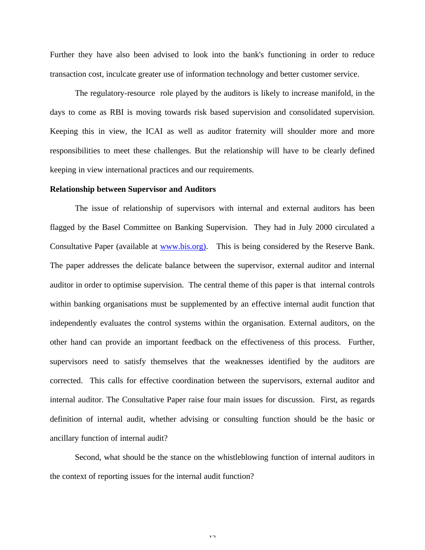Further they have also been advised to look into the bank's functioning in order to reduce transaction cost, inculcate greater use of information technology and better customer service.

The regulatory-resource role played by the auditors is likely to increase manifold, in the days to come as RBI is moving towards risk based supervision and consolidated supervision. Keeping this in view, the ICAI as well as auditor fraternity will shoulder more and more responsibilities to meet these challenges. But the relationship will have to be clearly defined keeping in view international practices and our requirements.

### **Relationship between Supervisor and Auditors**

The issue of relationship of supervisors with internal and external auditors has been flagged by the Basel Committee on Banking Supervision. They had in July 2000 circulated a Consultative Paper (available at www.bis.org). This is being considered by the Reserve Bank. The paper addresses the delicate balance between the supervisor, external auditor and internal auditor in order to optimise supervision. The central theme of this paper is that internal controls within banking organisations must be supplemented by an effective internal audit function that independently evaluates the control systems within the organisation. External auditors, on the other hand can provide an important feedback on the effectiveness of this process. Further, supervisors need to satisfy themselves that the weaknesses identified by the auditors are corrected. This calls for effective coordination between the supervisors, external auditor and internal auditor. The Consultative Paper raise four main issues for discussion. First, as regards definition of internal audit, whether advising or consulting function should be the basic or ancillary function of internal audit?

Second, what should be the stance on the whistleblowing function of internal auditors in the context of reporting issues for the internal audit function?

 $1<sub>2</sub>$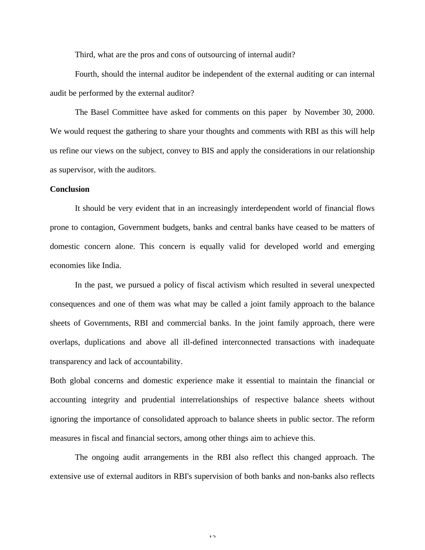Third, what are the pros and cons of outsourcing of internal audit?

Fourth, should the internal auditor be independent of the external auditing or can internal audit be performed by the external auditor?

The Basel Committee have asked for comments on this paper by November 30, 2000. We would request the gathering to share your thoughts and comments with RBI as this will help us refine our views on the subject, convey to BIS and apply the considerations in our relationship as supervisor, with the auditors.

# **Conclusion**

It should be very evident that in an increasingly interdependent world of financial flows prone to contagion, Government budgets, banks and central banks have ceased to be matters of domestic concern alone. This concern is equally valid for developed world and emerging economies like India.

In the past, we pursued a policy of fiscal activism which resulted in several unexpected consequences and one of them was what may be called a joint family approach to the balance sheets of Governments, RBI and commercial banks. In the joint family approach, there were overlaps, duplications and above all ill-defined interconnected transactions with inadequate transparency and lack of accountability.

Both global concerns and domestic experience make it essential to maintain the financial or accounting integrity and prudential interrelationships of respective balance sheets without ignoring the importance of consolidated approach to balance sheets in public sector. The reform measures in fiscal and financial sectors, among other things aim to achieve this.

The ongoing audit arrangements in the RBI also reflect this changed approach. The extensive use of external auditors in RBI's supervision of both banks and non-banks also reflects

 $12$